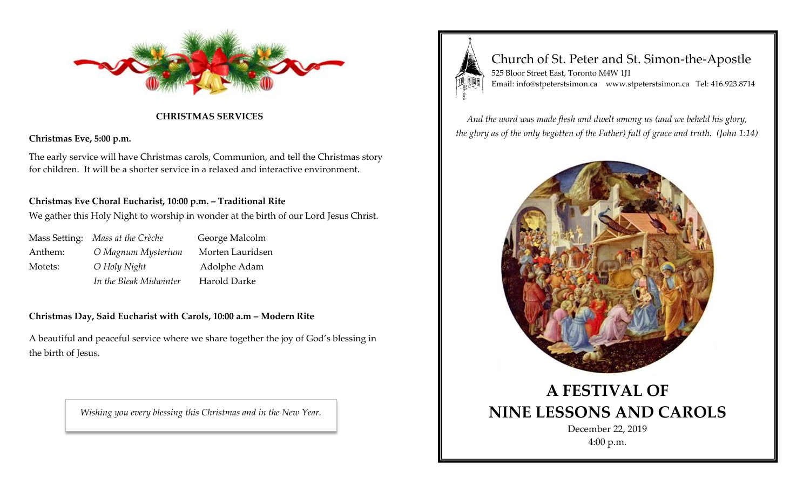

# **CHRISTMAS SERVICES**

# **Christmas Eve, 5:00 p.m.**

The early service will have Christmas carols, Communion, and tell the Christmas story for children. It will be a shorter service in a relaxed and interactive environment.

# **Christmas Eve Choral Eucharist, 10:00 p.m. – Traditional Rite**

We gather this Holy Night to worship in wonder at the birth of our Lord Jesus Christ.

Mass Setting: *Mass at the Crèche* George Malcolm Anthem: *O Magnum Mysterium* Morten Lauridsen Motets: *O Holy Night* Adolphe Adam *In the Bleak Midwinter* Harold Darke

**Christmas Day, Said Eucharist with Carols, 10:00 a.m – Modern Rite**

A beautiful and peaceful service where we share together the joy of God's blessing in the birth of Jesus.

*Wishing you every blessing this Christmas and in the New Year.*



Church of St. Peter and St. Simon-the-Apostle 525 Bloor Street East, Toronto M4W 1J1 Email: info@stpeterstsimon.ca www.stpeterstsimon.ca Tel: 416.923.8714

*And the word was made flesh and dwelt among us (and we beheld his glory, the glory as of the only begotten of the Father) full of grace and truth. (John 1:14)*

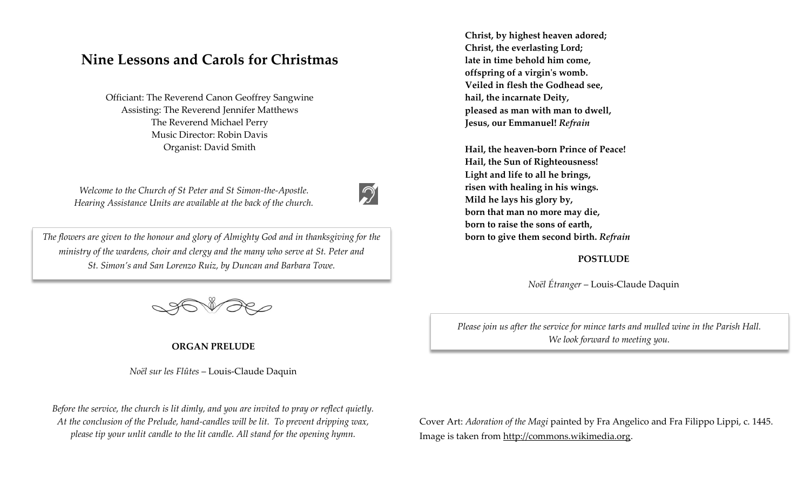# **Nine Lessons and Carols for Christmas**

Officiant: The Reverend Canon Geoffrey Sangwine Assisting: The Reverend Jennifer Matthews The Reverend Michael Perry Music Director: Robin Davis Organist: David Smith

 *Welcome to the Church of St Peter and St Simon-the-Apostle. Hearing Assistance Units are available at the back of the church.*



*The flowers are given to the honour and glory of Almighty God and in thanksgiving for the ministry of the wardens, choir and clergy and the many who serve at St. Peter and St. Simon's and San Lorenzo Ruiz, by Duncan and Barbara Towe.*



# **ORGAN PRELUDE**

 *Noël sur les Flûtes* – Louis-Claude Daquin

 *Before the service, the church is lit dimly, and you are invited to pray or reflect quietly. At the conclusion of the Prelude, hand-candles will be lit. To prevent dripping wax, please tip your unlit candle to the lit candle. All stand for the opening hymn.*

**Christ, by highest heaven adored; Christ, the everlasting Lord; late in time behold him come, offspring of a virgin's womb. Veiled in flesh the Godhead see, hail, the incarnate Deity, pleased as man with man to dwell, Jesus, our Emmanuel!** *Refrain*

**Hail, the heaven-born Prince of Peace! Hail, the Sun of Righteousness! Light and life to all he brings, risen with healing in his wings. Mild he lays his glory by, born that man no more may die, born to raise the sons of earth, born to give them second birth.** *Refrain*

# **POSTLUDE**

 *Noël Étranger* – Louis-Claude Daquin

*Please join us after the service for mince tarts and mulled wine in the Parish Hall. We look forward to meeting you.*

Cover Art: *Adoration of the Magi* painted by Fra Angelico and Fra Filippo Lippi, c. 1445. Image is taken from [http://commons.wikimedia.org.](http://commons.wikimedia.org/)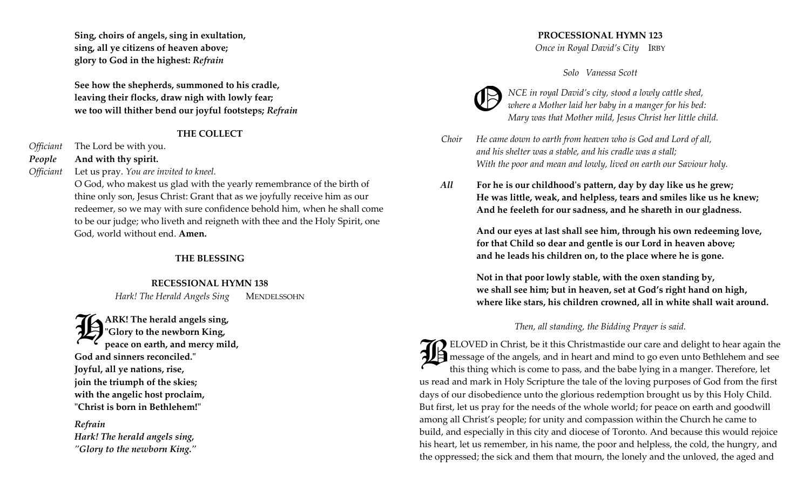**Sing, choirs of angels, sing in exultation, sing, all ye citizens of heaven above; glory to God in the highest:** *Refrain*

**See how the shepherds, summoned to his cradle, leaving their flocks, draw nigh with lowly fear; we too will thither bend our joyful footsteps;** *Refrain*

### **THE COLLECT**

*Officiant* The Lord be with you.

*People* **And with thy spirit.**

*Officiant* Let us pray. *You are invited to kneel.*

 O God, who makest us glad with the yearly remembrance of the birth of thine only son, Jesus Christ: Grant that as we joyfully receive him as our redeemer, so we may with sure confidence behold him, when he shall come to be our judge; who liveth and reigneth with thee and the Holy Spirit, one God, world without end. **Amen.**

### **THE BLESSING**

#### **RECESSIONAL HYMN 138**

*Hark! The Herald Angels Sing* MENDELSSOHN

**ARK! The herald angels sing, "Glory to the newborn King, peace on earth, and mercy mild, God and sinners reconciled." Joyful, all ye nations, rise, join the triumph of the skies; with the angelic host proclaim, "Christ is born in Bethlehem!"**

# *Refrain*

*Hark! The herald angels sing, "Glory to the newborn King."*

#### **PROCESSIONAL HYMN 123**

*Once in Royal David's City* IRBY

*Solo Vanessa Scott*



 *NCE in royal David's city, stood a lowly cattle shed, where a Mother laid her baby in a manger for his bed: Mary was that Mother mild, Jesus Christ her little child.*

- *Choir He came down to earth from heaven who is God and Lord of all, and his shelter was a stable, and his cradle was a stall; With the poor and mean and lowly, lived on earth our Saviour holy.*
- *All* **For he is our childhood's pattern, day by day like us he grew; He was little, weak, and helpless, tears and smiles like us he knew; And he feeleth for our sadness, and he shareth in our gladness.**

**And our eyes at last shall see him, through his own redeeming love, for that Child so dear and gentle is our Lord in heaven above; and he leads his children on, to the place where he is gone.**

**Not in that poor lowly stable, with the oxen standing by, we shall see him; but in heaven, set at God's right hand on high, where like stars, his children crowned, all in white shall wait around.**

### *Then, all standing, the Bidding Prayer is said.*

ELOVED in Christ, be it this Christmastide our care and delight to hear again the message of the angels, and in heart and mind to go even unto Bethlehem and see this thing which is come to pass, and the babe lying in a man message of the angels, and in heart and mind to go even unto Bethlehem and see this thing which is come to pass, and the babe lying in a manger. Therefore, let us read and mark in Holy Scripture the tale of the loving purposes of God from the first days of our disobedience unto the glorious redemption brought us by this Holy Child. But first, let us pray for the needs of the whole world; for peace on earth and goodwill among all Christ's people; for unity and compassion within the Church he came to build, and especially in this city and diocese of Toronto. And because this would rejoice his heart, let us remember, in his name, the poor and helpless, the cold, the hungry, and the oppressed; the sick and them that mourn, the lonely and the unloved, the aged and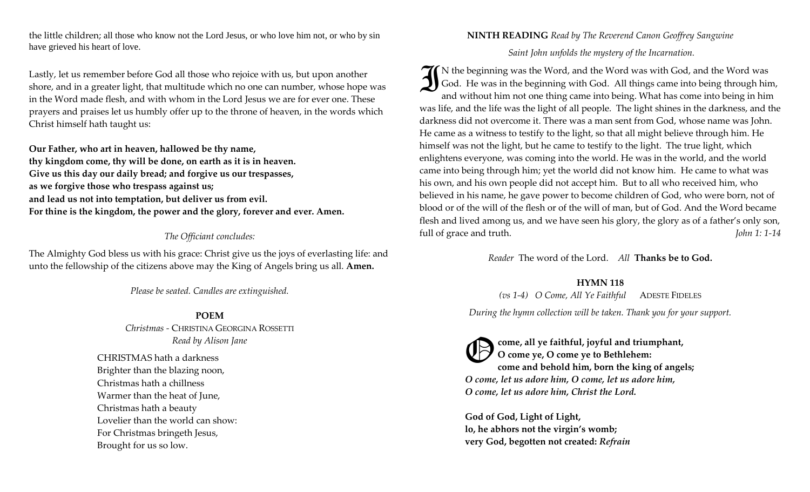the little children; all those who know not the Lord Jesus, or who love him not, or who by sin have grieved his heart of love.

Lastly, let us remember before God all those who rejoice with us, but upon another shore, and in a greater light, that multitude which no one can number, whose hope was in the Word made flesh, and with whom in the Lord Jesus we are for ever one. These prayers and praises let us humbly offer up to the throne of heaven, in the words which Christ himself hath taught us:

**Our Father, who art in heaven, hallowed be thy name, thy kingdom come, thy will be done, on earth as it is in heaven. Give us this day our daily bread; and forgive us our trespasses, as we forgive those who trespass against us; and lead us not into temptation, but deliver us from evil. For thine is the kingdom, the power and the glory, forever and ever. Amen.**

### *The Officiant concludes:*

The Almighty God bless us with his grace: Christ give us the joys of everlasting life: and unto the fellowship of the citizens above may the King of Angels bring us all. **Amen.**

*Please be seated. Candles are extinguished.*

**POEM** *Christmas -* CHRISTINA GEORGINA ROSSETTI *Read by Alison Jane*

CHRISTMAS hath a darkness Brighter than the blazing noon, Christmas hath a chillness Warmer than the heat of June, Christmas hath a beauty Lovelier than the world can show: For Christmas bringeth Jesus, Brought for us so low.

### **NINTH READING** *Read by The Reverend Canon Geoffrey Sangwine*

*Saint John unfolds the mystery of the Incarnation.*

N the beginning was the Word, and the Word was with God, and the Word was God. He was in the beginning with God. All things came into being through him, and without him not one thing came into being. What has come into being in him was life, and the life was the light of all people. The light shines in the darkness, and the darkness did not overcome it. There was a man sent from God, whose name was John. He came as a witness to testify to the light, so that all might believe through him. He himself was not the light, but he came to testify to the light. The true light, which enlightens everyone, was coming into the world. He was in the world, and the world came into being through him; yet the world did not know him. He came to what was his own, and his own people did not accept him. But to all who received him, who believed in his name, he gave power to become children of God, who were born, not of blood or of the will of the flesh or of the will of man, but of God. And the Word became flesh and lived among us, and we have seen his glory, the glory as of a father's only son, full of grace and truth. *John 1: 1-14*  $\overline{\mathfrak{J}}$ 

*Reader* The word of the Lord. *All* **Thanks be to God.**

### **HYMN 118**

*(vs 1-4)**O Come, All Ye Faithful* ADESTE FIDELES

*During the hymn collection will be taken. Thank you for your support.*



# **come, all ye faithful, joyful and triumphant, O come ye, O come ye to Bethlehem:**

**come and behold him, born the king of angels;** *O come, let us adore him, O come, let us adore him, O come, let us adore him, Christ the Lord.*

**God of God, Light of Light, lo, he abhors not the virgin's womb; very God, begotten not created:** *Refrain*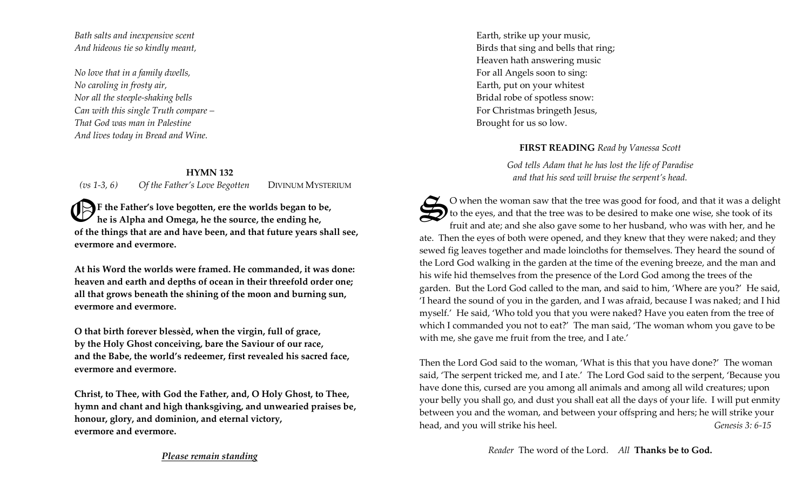*Bath salts and inexpensive scent And hideous tie so kindly meant,*

*No love that in a family dwells, No caroling in frosty air, Nor all the steeple-shaking bells Can with this single Truth compare – That God was man in Palestine And lives today in Bread and Wine.*

#### **HYMN 132**

 *(vs 1-3, 6) Of the Father's Love Begotten* DIVINUM MYSTERIUM

**F the Father's love begotten, ere the worlds began to be, he is Alpha and Omega, he the source, the ending he, of the things that are and have been, and that future years shall see, evermore and evermore.**  $\Theta$  F the Father's love begotten, ere the worlds began to be,<br>he is Alpha and Omega, he the source, the ending he,

> **At his Word the worlds were framed. He commanded, it was done: heaven and earth and depths of ocean in their threefold order one; all that grows beneath the shining of the moon and burning sun, evermore and evermore.**

**O that birth forever blessèd, when the virgin, full of grace, by the Holy Ghost conceiving, bare the Saviour of our race, and the Babe, the world's redeemer, first revealed his sacred face, evermore and evermore.**

**Christ, to Thee, with God the Father, and, O Holy Ghost, to Thee, hymn and chant and high thanksgiving, and unwearied praises be, honour, glory, and dominion, and eternal victory, evermore and evermore.**

Earth, strike up your music, Birds that sing and bells that ring; Heaven hath answering music For all Angels soon to sing: Earth, put on your whitest Bridal robe of spotless snow: For Christmas bringeth Jesus, Brought for us so low.

### **FIRST READING** *Read by Vanessa Scott*

*God tells Adam that he has lost the life of Paradise and that his seed will bruise the serpent's head.*

 $\bigcirc$  O when the woman saw that the tree was good for food, and that it was a delight to the eyes, and that the tree was to be desired to make one wise, she took of its fruit and ate; and she also gave some to her husband, who was with her, and he ate. Then the eyes of both were opened, and they knew that they were naked; and they sewed fig leaves together and made loincloths for themselves. They heard the sound of the Lord God walking in the garden at the time of the evening breeze, and the man and his wife hid themselves from the presence of the Lord God among the trees of the garden. But the Lord God called to the man, and said to him, 'Where are you?' He said, 'I heard the sound of you in the garden, and I was afraid, because I was naked; and I hid myself.' He said, 'Who told you that you were naked? Have you eaten from the tree of which I commanded you not to eat?' The man said, 'The woman whom you gave to be with me, she gave me fruit from the tree, and I ate.'

Then the Lord God said to the woman, 'What is this that you have done?' The woman said, 'The serpent tricked me, and I ate.' The Lord God said to the serpent, 'Because you have done this, cursed are you among all animals and among all wild creatures; upon your belly you shall go, and dust you shall eat all the days of your life. I will put enmity between you and the woman, and between your offspring and hers; he will strike your head, and you will strike his heel. *Genesis 3: 6-15*

*Reader* The word of the Lord. *All* **Thanks be to God.**

*Please remain standing*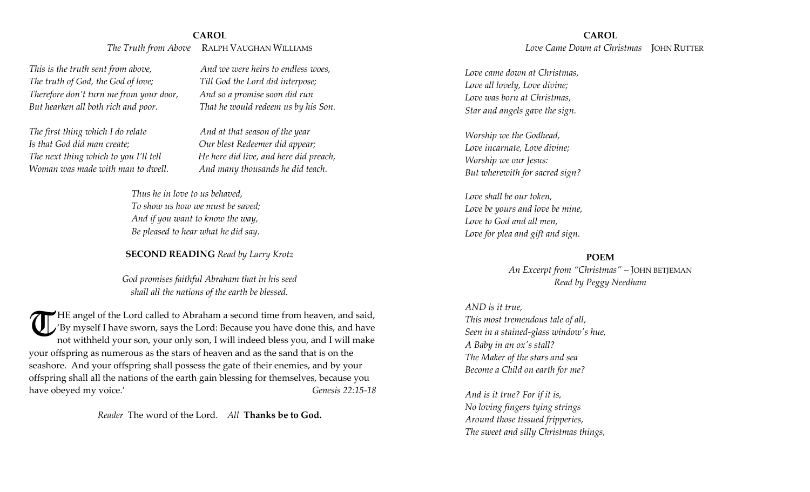# **CAROL** *The Truth from Above* RALPH VAUGHAN WILLIAMS

*This is the truth sent from above, And we were heirs to endless woes, The truth of God, the God of love; Till God the Lord did interpose; Therefore don't turn me from your door, And so a promise soon did run But hearken all both rich and poor. That he would redeem us by his Son.*

*The first thing which I do relate And at that season of the year Is that God did man create; Our blest Redeemer did appear; The next thing which to you I'll tell He here did live, and here did preach, Woman was made with man to dwell. And many thousands he did teach.*

*Thus he in love to us behaved, To show us how we must be saved; And if you want to know the way, Be pleased to hear what he did say.*

**SECOND READING** *Read by Larry Krotz*

*God promises faithful Abraham that in his seed shall all the nations of the earth be blessed.*

 $\blacktriangleright$  HE angel of the Lord called to Abraham a second time from heaven, and said, 'By myself I have sworn, says the Lord: Because you have done this, and have not withheld your son, your only son, I will indeed bless you, and I will make your offspring as numerous as the stars of heaven and as the sand that is on the seashore. And your offspring shall possess the gate of their enemies, and by your offspring shall all the nations of the earth gain blessing for themselves, because you have obeyed my voice.' *Genesis 22:15-18*  $\overline{\mathbb{C}}$ 

*Reader* The word of the Lord. *All* **Thanks be to God.**

**CAROL** *Love Came Down at Christmas* JOHN RUTTER

*Love came down at Christmas, Love all lovely, Love divine; Love was born at Christmas, Star and angels gave the sign.*

*Worship we the Godhead, Love incarnate, Love divine; Worship we our Jesus: But wherewith for sacred sign?*

*Love shall be our token, Love be yours and love be mine, Love to God and all men, Love for plea and gift and sign.*

# **POEM**

*An Excerpt from "Christmas" –* JOHN BETJEMAN *Read by Peggy Needham*

*AND is it true, This most tremendous tale of all, Seen in a stained-glass window's hue, A Baby in an ox's stall? The Maker of the stars and sea Become a Child on earth for me?* 

*And is it true? For if it is, No loving fingers tying strings Around those tissued fripperies, The sweet and silly Christmas things,*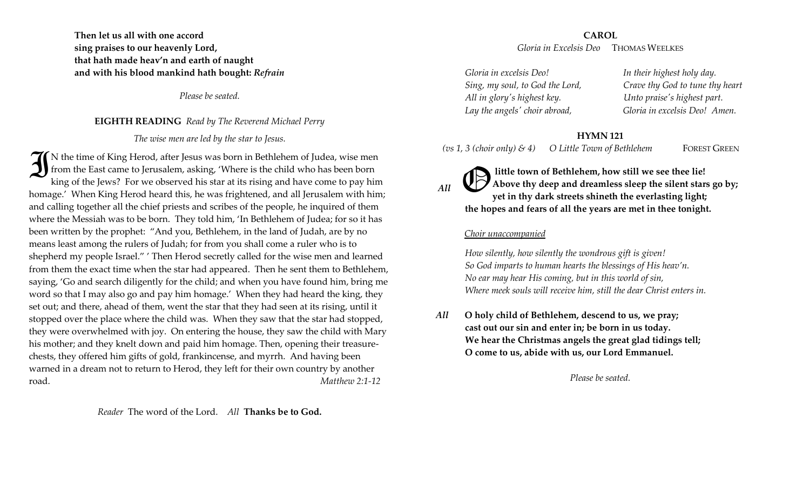**Then let us all with one accord sing praises to our heavenly Lord, that hath made heav'n and earth of naught and with his blood mankind hath bought:** *Refrain*

*Please be seated.*

**EIGHTH READING** *Read by The Reverend Michael Perry*

*The wise men are led by the star to Jesus.*

 $\gamma$  N the time of King Herod, after Jesus was born in Bethlehem of Judea, wise men from the East came to Jerusalem, asking, 'Where is the child who has been born king of the Jews? For we observed his star at its rising and have come to pay him homage.' When King Herod heard this, he was frightened, and all Jerusalem with him; and calling together all the chief priests and scribes of the people, he inquired of them where the Messiah was to be born. They told him, 'In Bethlehem of Judea; for so it has been written by the prophet: "And you, Bethlehem, in the land of Judah, are by no means least among the rulers of Judah; for from you shall come a ruler who is to shepherd my people Israel." ' Then Herod secretly called for the wise men and learned from them the exact time when the star had appeared. Then he sent them to Bethlehem, saying, 'Go and search diligently for the child; and when you have found him, bring me word so that I may also go and pay him homage.' When they had heard the king, they set out; and there, ahead of them, went the star that they had seen at its rising, until it stopped over the place where the child was. When they saw that the star had stopped, they were overwhelmed with joy. On entering the house, they saw the child with Mary his mother; and they knelt down and paid him homage. Then, opening their treasurechests, they offered him gifts of gold, frankincense, and myrrh. And having been warned in a dream not to return to Herod, they left for their own country by another road. *Matthew 2:1-12* In the time of King Herod, after Jesus was born in Bethlehem of Judea, wise men<br>
from the East came to Jerusalem, asking, 'Where is the child who has been born<br>
king of the Jews? For we observed his star at its rising and

**CAROL** *Gloria in Excelsis Deo* THOMAS WEELKES

*Gloria in excelsis Deo! In their highest holy day. All in glory's highest key. Unto praise's highest part.*

*Sing, my soul, to God the Lord, Crave thy God to tune thy heart Lay the angels' choir abroad, Gloria in excelsis Deo! Amen.*

# **HYMN 121**

 *(vs 1, 3 (choir only) & 4) O Little Town of Bethlehem* FOREST GREEN

**little town of Bethlehem, how still we see thee lie! Above thy deep and dreamless sleep the silent stars go by; yet in thy dark streets shineth the everlasting light; the hopes and fears of all the years are met in thee tonight.**

 *Choir unaccompanied*

*How silently, how silently the wondrous gift is given! So God imparts to human hearts the blessings of His heav'n. No ear may hear His coming, but in this world of sin, Where meek souls will receive him, still the dear Christ enters in.*

 *All* **O holy child of Bethlehem, descend to us, we pray; cast out our sin and enter in; be born in us today. We hear the Christmas angels the great glad tidings tell; O come to us, abide with us, our Lord Emmanuel.**

*Please be seated.*

*Reader* The word of the Lord. *All* **Thanks be to God.**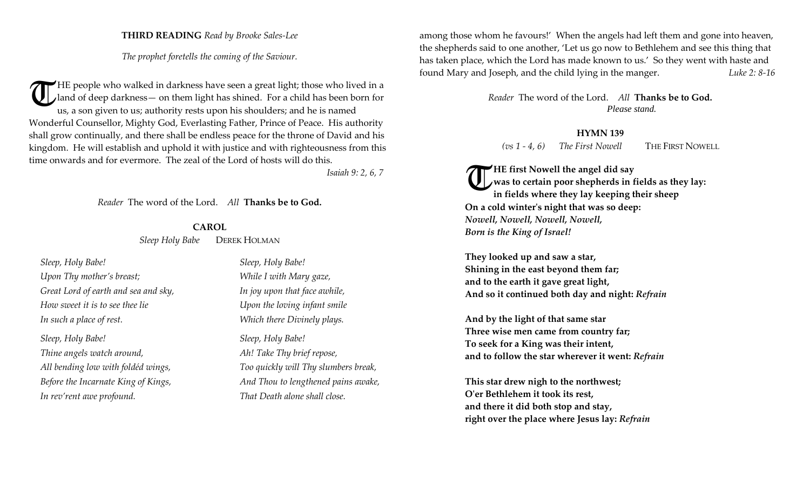#### **THIRD READING** *Read by Brooke Sales-Lee*

*The prophet foretells the coming of the Saviour.*

HE people who walked in darkness have seen a great light; those who lived in a<br>land of deep darkness— on them light has shined. For a child has been born for<br>use a son given to us: authority rests upon his shoulders; and h Jand of deep darkness— on them light has shined. For a child has been born for us, a son given to us; authority rests upon his shoulders; and he is named Wonderful Counsellor, Mighty God, Everlasting Father, Prince of Peace. His authority shall grow continually, and there shall be endless peace for the throne of David and his kingdom. He will establish and uphold it with justice and with righteousness from this time onwards and for evermore. The zeal of the Lord of hosts will do this.

*Isaiah 9: 2, 6, 7*

#### *Reader* The word of the Lord. *All* **Thanks be to God.**

**CAROL** *Sleep Holy Babe* DEREK HOLMAN

| Sleep, Holy Babe!                    | Sleep, Holy Babe!             |
|--------------------------------------|-------------------------------|
| Upon Thy mother's breast;            | While I with Mary gaze,       |
| Great Lord of earth and sea and sky, | In joy upon that face awhile, |
| How sweet it is to see thee lie      | Upon the loving infant smile  |
| In such a place of rest.             | Which there Divinely plays.   |
| Sleep, Holy Babe!                    | Sleep, Holy Babe!             |
| Thine angels watch around,           | Ah! Take Thy brief repose,    |
| All bending low with foldéd wings,   | Too quickly will Thy slumbe   |
| Before the Incarnate King of Kings,  | And Thou to lengthened pair   |
| In rev'rent awe profound.            | That Death alone shall close. |
|                                      |                               |

*Sleep, Holy Babe! Sleep, Holy Babe! Upon Thy mother's breast; While I with Mary gaze, Great Lord of earth and sea and sky, In joy upon that face awhile, Mowing infant smile In such a place of rest. Which there Divinely plays. Sleep, Holy Babe! Sleep, Holy Babe! Thy brief repose, All bending low with foldéd wings, Too quickly will Thy slumbers break, Before the Incarnate King of Kings, And Thou to lengthened pains awake,* among those whom he favours!' When the angels had left them and gone into heaven, the shepherds said to one another, 'Let us go now to Bethlehem and see this thing that has taken place, which the Lord has made known to us.' So they went with haste and found Mary and Joseph, and the child lying in the manger. *Luke 2: 8-16*

> *Reader* The word of the Lord. *All* **Thanks be to God.** *Please stand.*

# **HYMN 139**

 *(vs 1 - 4, 6) The First Nowell* THE FIRST NOWELL

**HE first Nowell the angel did say was to certain poor shepherds in fields as they lay: in fields where they lay keeping their sheep On a cold winter's night that was so deep:** *Nowell, Nowell, Nowell, Nowell, Born is the King of Israel!* **TELECTION** 

> **They looked up and saw a star, Shining in the east beyond them far; and to the earth it gave great light, And so it continued both day and night:** *Refrain*

**And by the light of that same star Three wise men came from country far; To seek for a King was their intent, and to follow the star wherever it went:** *Refrain*

**This star drew nigh to the northwest; O'er Bethlehem it took its rest, and there it did both stop and stay, right over the place where Jesus lay:** *Refrain*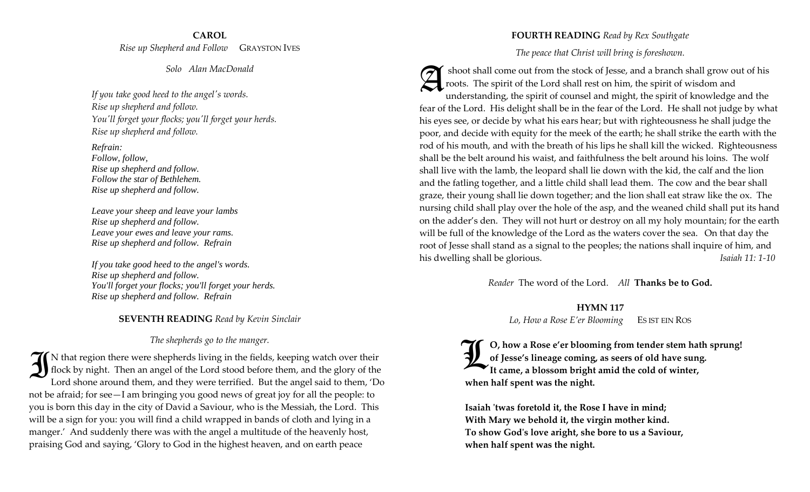# **CAROL** *Rise up Shepherd and Follow* GRAYSTON IVES

### *Solo Alan MacDonald*

*If you take good heed to the angel's words. Rise up shepherd and follow. You'll forget your flocks; you'll forget your herds. Rise up shepherd and follow.*

*Refrain: Follow, follow, Rise up shepherd and follow. Follow the star of Bethlehem. Rise up shepherd and follow.*

*Leave your sheep and leave your lambs Rise up shepherd and follow. Leave your ewes and leave your rams. Rise up shepherd and follow. Refrain*

*If you take good heed to the angel's words. Rise up shepherd and follow. You'll forget your flocks; you'll forget your herds. Rise up shepherd and follow. Refrain*

### **SEVENTH READING** *Read by Kevin Sinclair*

*The shepherds go to the manger.*

N that region there were shepherds living in the fields, keeping watch over their flock by night. Then an angel of the Lord stood before them, and the glory of the Lord shone around them, and they were terrified. But the angel said to them, 'Do not be afraid; for see—I am bringing you good news of great joy for all the people: to you is born this day in the city of David a Saviour, who is the Messiah, the Lord. This will be a sign for you: you will find a child wrapped in bands of cloth and lying in a manger.' And suddenly there was with the angel a multitude of the heavenly host, praising God and saying, 'Glory to God in the highest heaven, and on earth peace  $\overline{\mathfrak{J}}$ 

### **FOURTH READING** *Read by Rex Southgate*

*The peace that Christ will bring is foreshown.*



shoot shall come out from the stock of Jesse, and a branch shall grow out of his roots. The spirit of the Lord shall rest on him, the spirit of wisdom and

understanding, the spirit of counsel and might, the spirit of knowledge and the fear of the Lord. His delight shall be in the fear of the Lord. He shall not judge by what his eyes see, or decide by what his ears hear; but with righteousness he shall judge the poor, and decide with equity for the meek of the earth; he shall strike the earth with the rod of his mouth, and with the breath of his lips he shall kill the wicked. Righteousness shall be the belt around his waist, and faithfulness the belt around his loins. The wolf shall live with the lamb, the leopard shall lie down with the kid, the calf and the lion and the fatling together, and a little child shall lead them. The cow and the bear shall graze, their young shall lie down together; and the lion shall eat straw like the ox. The nursing child shall play over the hole of the asp, and the weaned child shall put its hand on the adder's den. They will not hurt or destroy on all my holy mountain; for the earth will be full of the knowledge of the Lord as the waters cover the sea. On that day the root of Jesse shall stand as a signal to the peoples; the nations shall inquire of him, and his dwelling shall be glorious. *Isaiah 11: 1-10*

*Reader* The word of the Lord. *All* **Thanks be to God.**

**HYMN 117** *Lo, How a Rose E'er Blooming* ES IST EIN ROS

**O, how a Rose e'er blooming from tender stem hath sprung! of Jesse's lineage coming, as seers of old have sung. It came, a blossom bright amid the cold of winter, when half spent was the night.** L

> **Isaiah 'twas foretold it, the Rose I have in mind; With Mary we behold it, the virgin mother kind. To show God's love aright, she bore to us a Saviour, when half spent was the night.**